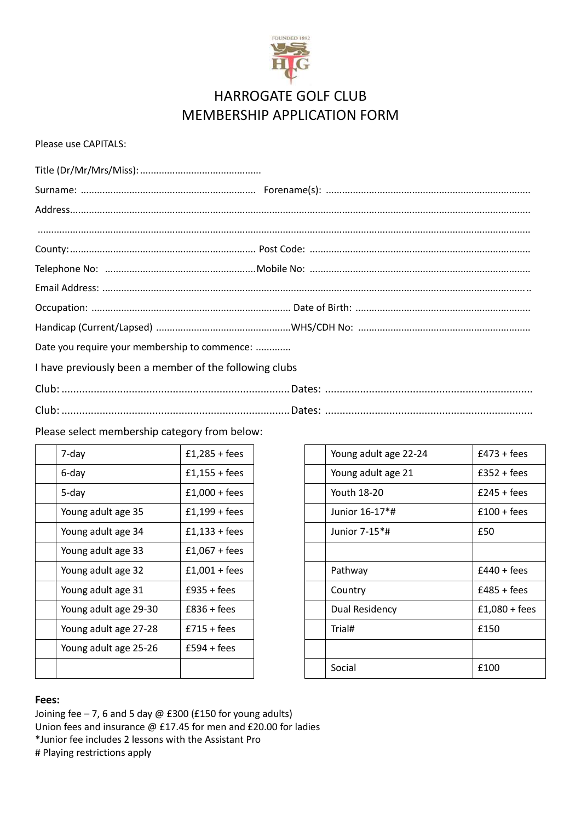

# HARROGATE GOLF CLUB MEMBERSHIP APPLICATION FORM

## Please use CAPITALS:

| Date you require your membership to commence:          |  |
|--------------------------------------------------------|--|
| I have previously been a member of the following clubs |  |
|                                                        |  |
|                                                        |  |

Please select membership category from below:

| 7-day                 | $£1,285 + fees$ |  | Young adult age 22-24 | £47 |
|-----------------------|-----------------|--|-----------------------|-----|
| 6-day                 | $£1,155 + fees$ |  | Young adult age 21    | £35 |
| 5-day                 | $£1,000 + fees$ |  | Youth 18-20           | £24 |
| Young adult age 35    | $£1,199 + fees$ |  | Junior 16-17*#        | £10 |
| Young adult age 34    | $£1,133 + fees$ |  | Junior 7-15*#         | £50 |
| Young adult age 33    | $£1,067 + fees$ |  |                       |     |
| Young adult age 32    | $£1,001 + fees$ |  | Pathway               | £44 |
| Young adult age 31    | $£935 + fees$   |  | Country               | £48 |
| Young adult age 29-30 | $£836 + fees$   |  | Dual Residency        | f1  |
| Young adult age 27-28 | $£715 + fees$   |  | Trial#                | £15 |
| Young adult age 25-26 | $£594 + fees$   |  |                       |     |
|                       |                 |  | Social                | £10 |
|                       |                 |  |                       |     |

| 7-day                 | $£1,285 + fees$ |  | Young adult age 22-24 | $£473 + fees$   |
|-----------------------|-----------------|--|-----------------------|-----------------|
| 6-day                 | $£1,155 + fees$ |  | Young adult age 21    | $£352 + fees$   |
| 5-day                 | $£1,000 + fees$ |  | Youth 18-20           | $£245 + fees$   |
| Young adult age 35    | $£1,199 + fees$ |  | Junior 16-17*#        | $£100 + fees$   |
| Young adult age 34    | $£1,133 + fees$ |  | Junior 7-15*#         | £50             |
| Young adult age 33    | $£1,067 + fees$ |  |                       |                 |
| Young adult age 32    | $£1,001 + fees$ |  | Pathway               | $£440 + fees$   |
| Young adult age 31    | $£935 + fees$   |  | Country               | $£485 + fees$   |
| Young adult age 29-30 | $£836 + fees$   |  | Dual Residency        | $£1,080 + fees$ |
| Young adult age 27-28 | $£715 + fees$   |  | Trial#                | £150            |
| Young adult age 25-26 | $£594 + fees$   |  |                       |                 |
|                       |                 |  | Social                | £100            |
|                       |                 |  |                       |                 |

## **Fees:**

Joining fee  $-7$ , 6 and 5 day @ £300 (£150 for young adults) Union fees and insurance @ £17.45 for men and £20.00 for ladies \*Junior fee includes 2 lessons with the Assistant Pro # Playing restrictions apply